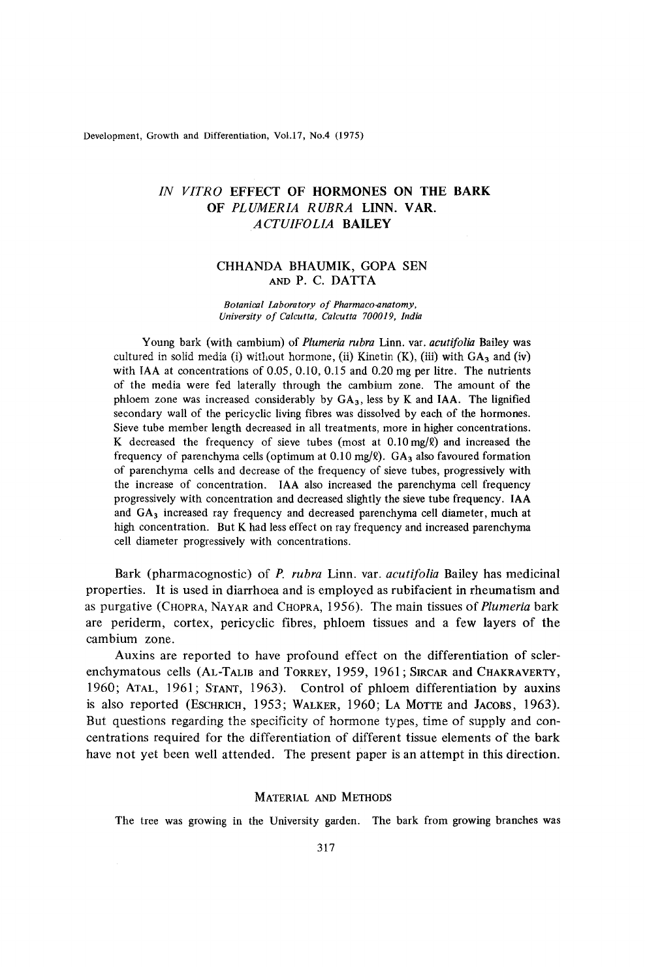Development, Growth and Differentiation, Vol.17, No.4 (1975)

# *IN VITRO* **EFFECT OF HORMONES ON THE BARK**<br>*IN VITRO* **EFFECT OF HORMONES ON THE BARK**<br>**OF PLUMERIA RUBRA LINN. VAR.**<br>*ACTUIFOLIA* BAILEY Differentiation, Vol.17, No.4 (1975)<br> **ROEFFECT OF HORMONES ON THE BARK<br>
<b>OF PLUMERIA RUBRA LINN. VAR.**<br>
ACTUIFOLIA BAILEY *A CTUIFO LIA* **BAILEY**

## CHHANDA BHAUMIK, **GOPA** SEN AND P. c. DATTA

#### *Botanical Laboratory of Pharmaco-anatomy, University* of *Calcutta, Calcutta 70001 9, India*

Young bark (with cambium) of *Plumeria rubra* Linn. var. *acutifolia* Bailey was cultured in solid media (i) without hormone, (ii) Kinetin (K), (iii) with GA<sub>3</sub> and (iv) cultured in solid media (i) without hormone, (ii) Kinetin (K), (iii) with GA<sub>3</sub> and (iv)<br>with IAA at concentrations of 0.05, 0.10, 0.15 and 0.20 mg per litre. The nutrients with **IAA** at concentrations of *0.05,* 0.10, 0.15 and 0.20 mg per litre. The nutrients of the media were fed laterally through the cambium zone. The amount of the phloem zone was increased considerably by **GA3,** less by K and **IAA.** The lignified secondary wall of the pericyclic living fibres was dissolved by each of the hormones. Sieve tube member length decreased in all treatments, more in higher concentrations. K decreased the frequency of sieve tubes (most at O.lOmg/Q) and increased the frequency of parenchyma cells (optimum at  $0.10$  mg/ $\ell$ ).  $GA_3$  also favoured formation of parenchyma cells and decrease of the frequency of sieve tubes, progressively with the increase of concentration. **IAA** also increased the parenchyma cell frequency progressively with concentration and decreased slightly the sieve tube frequency. **IAA**  and GA<sub>3</sub> increased ray frequency and decreased parenchyma cell diameter, much at **high** concentration. But K had less effect on ray frequency and increased parenchyma cell diameter progressively with concentrations.

Bark (pharmacognostic) of *P. rubru* Linn. var. *ucutifolia* Bailey has medicinal properties. It is used in diarrhoea and is employed as rubifacient in rheumatism and as purgative (CHOPRA, NAYAR and CHOPRA, 1956). The main tissues of *Plumeria* bark are periderm, cortex, pericyclic fibres, phloem tissues and a few layers of the cambium zone. Bark (pharmacognostic) of *P. rubra* Linn. var. *acutifolia* Bailey has medicinal<br>properties. It is used in diarrhoea and is employed as rubifacient in rheumatism and<br>as purgative (CHOPRA, NAYAR and CHOPRA, 1956). The main

Auxins are reported to have profound effect on the differentiation of scler-1960; ATAL, 1961; STANT, 1963). Control of phloem differentiation by auxins **is** also reported (ESCHRICH, 1953; WALKER, 1960; LA MOTTE and **JACOBS,** 1963). But questions regarding the specificity of hormone types, time of supply and concentrations required for the differentiation of different tissue elements of the bark have not yet been well attended. The present paper is an attempt in this direction.

## MATERIAL AND METHODS

The tree was growing in the University garden. The bark from growing branches was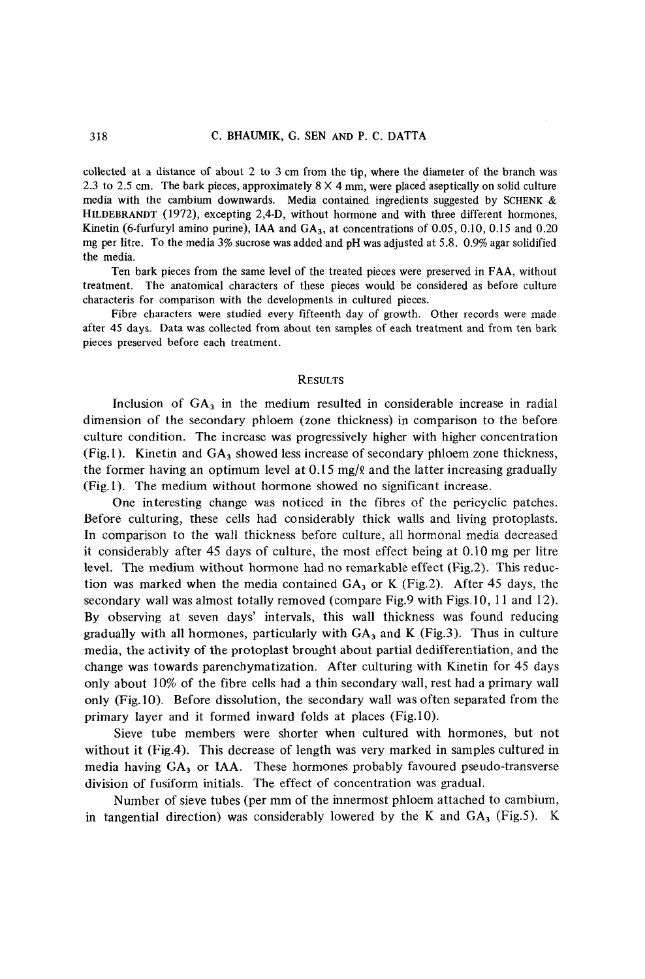media with the cambium downwards. Media contained ingredients suggested by **SCHENK**  & collected at a distance of about 2 to 3 cm from the tip, where the diameter of the branch was 2.3 to 2.5 cm. The bark pieces, approximately  $8 \times 4$  mm, were placed aseptically on solid culture AND P. C. DATTA<br>  $\times$  4 mm, where the diameter of the branch was<br>  $\times$  4 mm, were placed aseptically on solid culture<br>
contained ingredients suggested by SCHENK &<br>
thermone and with three different hormones **HILDEBRANDT** (1972), excepting 2,4-D, without hormone and with three different hormones, Kinetin (6-furfuryl amino purine), IAA and **GA,,** at concentrations of *0.05,* 0.10, 0.15 and *0.20*  mg per litre. To the media 3% sucrose was added and **pH** was adjusted at 5.8. 0.9% agar solidified the media.

Ten bark pieces from the same level of the treated pieces were preserved in FAA, without treatment. The anatomical characters of these pieces would be considered as before culture characteris for comparison with the developments in cultured pieces.

Fibre characters were studied every fifteenth day of growth. Other records were made after 45 days. Data was collected from about ten samples of each treatment and from ten bark pieces preserved before each treatment.

#### **RESULTS**

Inclusion of  $GA<sub>3</sub>$  in the medium resulted in considerable increase in radial dimension of the secondary phloem (zone thickness) in comparison to the before culture condition. The increase was progressively higher with higher concentration (Fig.1). Kinetin and  $GA<sub>3</sub>$  showed less increase of secondary phloem zone thickness, the former having an optimum level at 0.15 mg/ $\ell$  and the latter increasing gradually (Fig. 1). The medium without hormone showed no significant increase.

One interesting change was noticed in the fibres of the pericyclic patches. Before culturing, these cells had considerably thick walls and living protoplasts. In comparison to the wall thickness before culture, all hormonal media decreased it considerably after 45 days of culture, the most effect being at 0.10 mg per Iitre level. The medium without hormone had no remarkable effect (Fig.2). This reduction was marked when the media contained  $GA_3$  or K (Fig.2). After 45 days, the secondary wall was almost totally removed (compare Fig.9 with Figs.10, 11 and 12). By observing at seven days' intervals, this wall thickness was found reducing gradually with all hormones, particularly with  $GA_3$  and K (Fig.3). Thus in culture media, the activity of the protoplast brought about partial dedifferentiation, and the change was towards parenchymatization. After culturing with Kinetin for 45 days only about 10% of the fibre cells had a thin secondary wall, rest had a primary wall only (Fig. 10). Before dissolution, the secondary wall was often separated from the primary layer and it formed inward folds at places (Fig.10).

Sieve tube members were shorter when cultured with hormones, but not without it (Fig.4). This decrease of length was very marked in samples cultured in media having  $GA<sub>3</sub>$  or IAA. These hormones probably favoured pseudo-transverse division of fusiform initials. The effect of concentration was gradual.

Number of sieve tubes (per mm of the innermost phloem attached to cambium, in tangential direction) was considerably lowered by the K and  $GA<sub>3</sub>$  (Fig.5). K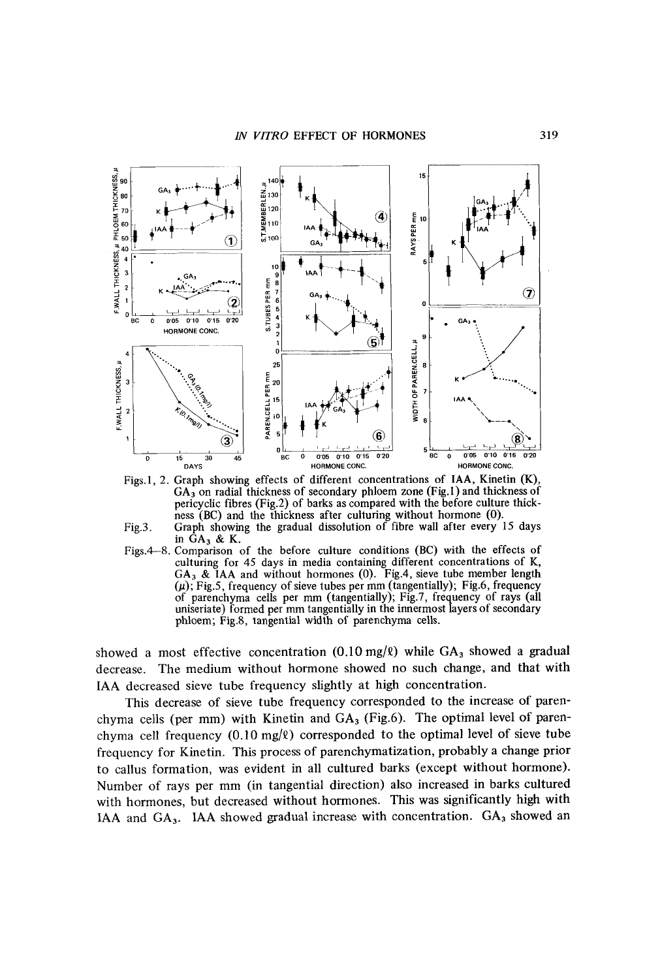

Figs.1, 2. Graph showing effects of different concentrations of IAA, Kinetin (K), **GA3** on radial thickness of secondary phloem zone (Fig.1) and thickness of pericyclic fibres (Fig.2) of barks as compared with the before culture thickness (BC) and the thickness after culturing without hormone (0).



in **GA3** & K. Figs.4-8. Comparison of the before culture conditions (BC) with the effects of culturing for 45 days in media containing different concentrations of K, **GA3** & **IAA** and without hormones (0). Fig.4, sieve tube member length *(p);* Fig.5, frequency of sieve tubes per mm (tangentially); Fig.6, frequency of parenchyma cells per mm (tangentially); Fig.7, frequency of rays (all uniseriate) formed per mm tangentially in the innermost layers of secondary phloem; Fig.8, tangential width of parenchyma cells.

showed a most effective concentration  $(0.10 \text{ mg}/\ell)$  while  $GA_3$  showed a gradual decrease. The medium without hormone showed no such change, and that with **IAA** decreased sieve tube frequency slightly at high concentration.

This decrease of sieve tube frequency corresponded to the increase of parenchyma cells (per mm) with Kinetin and **GA,** (Fig.6). The optimal level of parenchyma cell frequency  $(0.10 \text{ mg}/\ell)$  corresponded to the optimal level of sieve tube frequency for Kinetin. This process of parenchymatization, probably a change prior to callus formation, was evident in all cultured barks (except without hormone). Number of rays per mm (in tangential direction) also increased in barks cultured with hormones, but decreased without hormones. This was significantly high with **IAA** and **GA,. IAA** showed gradual increase with concentration. **GA,** showed an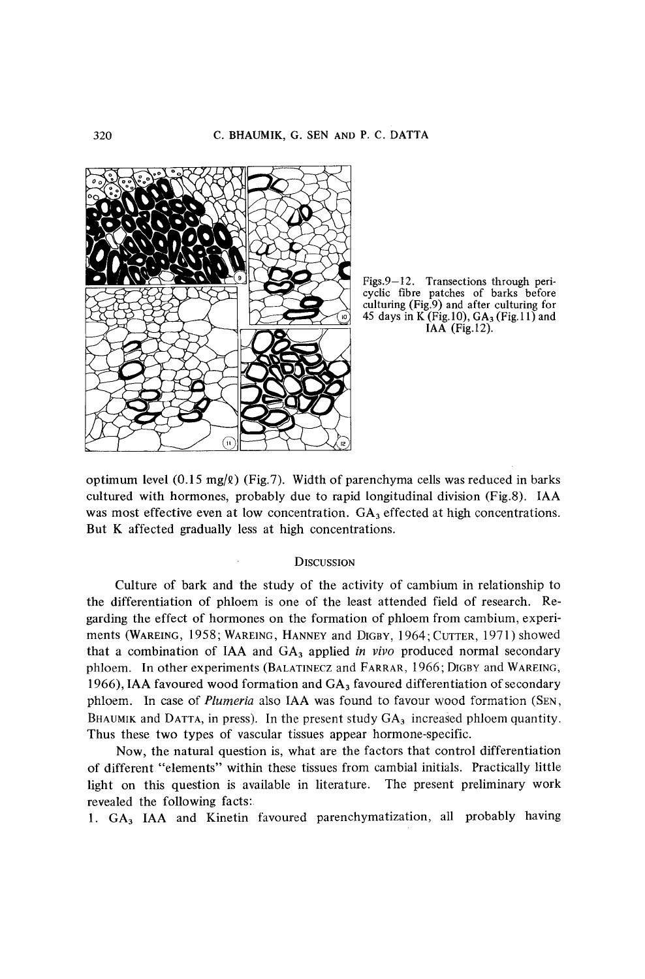

**Figs.9-12. Transections through pericyclic fibre patches of barks before culturing (Fig.9) and after culturing for**  Figs.9-12. Transections through pericyclic fibre patches of barks before<br>culturing (Fig.9) and after culturing for<br>45 days in K (Fig.10), GA<sub>3</sub> (Fig.11) and IAA (Fig.12). Transections through peripatches of barks before<br>2.9) and after culturing for<br>(Fig.10), GA<sub>3</sub> (Fig.11) and<br>IAA (Fig.12).

optimum level  $(0.15 \text{ mg}/\ell)$  (Fig.7). Width of parenchyma cells was reduced in barks cultured with hormones, probably due to rapid longitudinal division (Fig.8). **IAA**  was most effective even at low concentration. GA<sub>3</sub> effected at high concentrations. But **K** affected gradually less at high concentrations.

### **DISCUSSION**

Culture of bark and the study of the activity of cambium in relationship to the differentiation of phloem is one of the least attended field of research. Regarding the effect of hormones on the formation of phloem from cambium, experiments **(WAREING,** 1958; **WAREING, HANNEY** and **DIGBY,** 1964; CUTTER, 1971) showed Examples and the study of the activity of cambium in relationship to<br>the differentiation of phloem is one of the least attended field of research. Re-<br>garding the effect of hormones on the formation of phloem from cambium, phloem. In other experiments **(BALATINECZ** and **FARRAR,** 1966; **DIGBY** and **WAREING,**  1966), **IAA** favoured wood formation and **GA,** favoured differentiation of secondary phelom. In case of *Plumeria* also IAA was found to favour wood foresearch. Re-<br>garding the effect of hormones on the formation of phloem from cambium, experi-<br>ments (WAREING, 1958; WAREING, HANNEY and DIGBY, 1964; CUTTER, BHAUMIK and DATTA, in press). In the present study GA<sub>3</sub> increased phloem quantity. Thus these two types of vascular tissues appear hormone-specific.

Now, the natural question is, what are the factors that control differentiation of different "elements" within these tissues from cambial initials. Practically little light on this question is available in literature. The present preliminary work revealed the following facts:

1. **GA, IAA** and Kinetin favoured parenchymatization, all probably having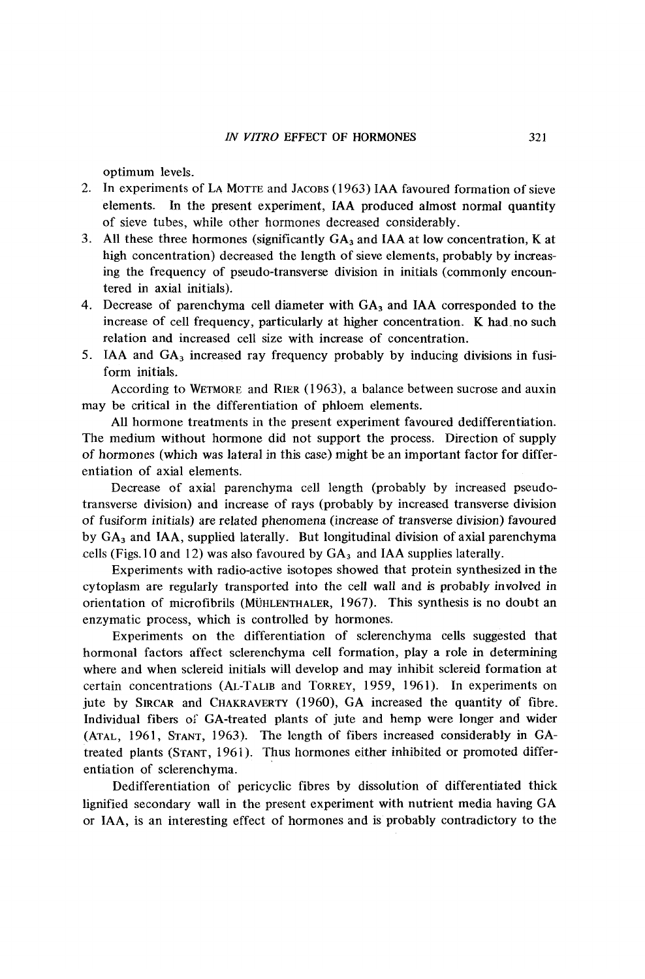optimum levels.

- 2. In experiments of LA MOTTE and JACOBS ( 1963) IAA favoured formation of sieve *IN VITRO* EFFECT OF HORMONES 321<br>
321<br>
321<br>
2. In experiments of LA MOTTE and JACOBS (1963) IAA favoured formation of sieve<br>
elements. In the present experiment, IAA produced almost normal quantity<br>
of sieve tubes, while elements. In the present experiment, IAA produced almost normal quantity of sieve tubes, while other hormones decreased considerably.
- 3. All these three hormones (significantly  $GA<sub>3</sub>$  and IAA at low concentration, K at high concentration) decreased the length of sieve elements, probably by increasing the frequency of pseudo-transverse division in initials (commonly encountered in axial initials).
- 4. Decrease of parenchyma cell diameter with  $GA_3$  and IAA corresponded to the increase of cell frequency, particularly at higher concentration. **K** had-no such relation and increased cell size with increase of concentration.
- *5.*  IAA and GA, increased ray frequency probably by inducing divisions in fusiform initials.

According to WETMORE and RIER ( 1963), a balance between sucrose and auxin may be critical in the differentiation of phloem elements.

All hormone treatments in the present experiment favoured dedifferentiation. The medium without hormone did not support the process. Direction of supply of hormones (which was lateral in this case) might be an important factor for differentiation of axial elements.

Decrease of axial parenchyma cell length (probably by increased pseudotransverse division) and increase of rays (probably by increased transverse division of fusiform initials) are related phenomena (increase of transverse division) favoured by GA, and IAA, supplied laterally. But longitudinal division of axial parenchyma cells (Figs. 10 and 12) was also favoured by  $GA_3$  and IAA supplies laterally.

Experiments with radio-active isotopes showed that protein synthesized in the cytoplasm are regularly transported into the cell wall and is probably involved in orientation of microfibrils (MÜHLENTHALER, 1967). This synthesis is no doubt an enzymatic process, which is controlled by hormones.

Experiments on the differentiation of sclerenchyma cells suggested that hormonal factors affect sclerenchyma ce11 formation, play a role in determining where and when sclereid initials will develop and may inhibit sclereid formation at certain concentrations (AL-TALIB and TORREY, 1959, 1961). In experiments on jute by SIRCAR and CHAKRAVERTY (1960), GA increased the quantity of fibre. Individual fibers of GA-treated plants of jute and hemp were longer and wider **(ATAL,** 1961, **STANT,** 1963). The length of fibers increased considerably in GAtreated plants (STANT, 1961). Thus hormones either inhibited or promoted differentiation of sclerenchyma.

Dedifferentiation of pericyclic fibres by dissolution of differentiated thick lignified secondary wall in the present experiment with nutrient media having GA or IAA, is an interesting effect of hormones and is probably contradictory to the